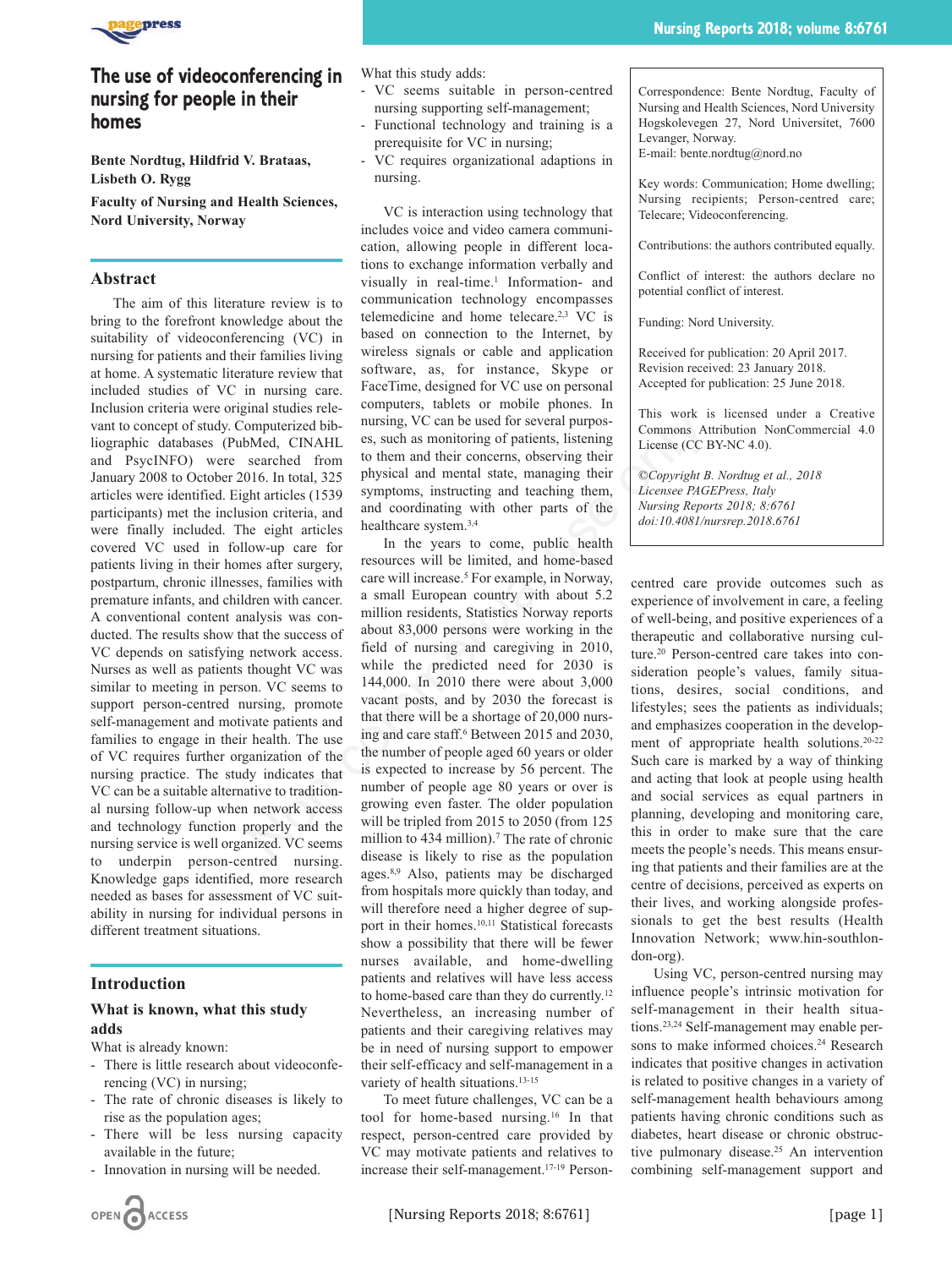

# **The use of videoconferencing in nursing for people in their homes**

**Bente Nordtug, Hildfrid V. Brataas, Lisbeth O. Rygg**

**Faculty of Nursing and Health Sciences, Nord University, Norway**

# **Abstract**

The aim of this literature review is to bring to the forefront knowledge about the suitability of videoconferencing (VC) in nursing for patients and their families living at home. A systematic literature review that included studies of VC in nursing care. Inclusion criteria were original studies relevant to concept of study. Computerized bibliographic databases (PubMed, CINAHL and PsycINFO) were searched from January 2008 to October 2016. In total, 325 articles were identified. Eight articles (1539 participants) met the inclusion criteria, and were finally included. The eight articles covered VC used in follow-up care for patients living in their homes after surgery, postpartum, chronic illnesses, families with premature infants, and children with cancer. A conventional content analysis was conducted. The results show that the success of VC depends on satisfying network access. Nurses as well as patients thought VC was similar to meeting in person. VC seems to support person-centred nursing, promote self-management and motivate patients and families to engage in their health. The use of VC requires further organization of the nursing practice. The study indicates that VC can be a suitable alternative to traditional nursing follow-up when network access and technology function properly and the nursing service is well organized. VC seems to underpin person-centred nursing. Knowledge gaps identified, more research needed as bases for assessment of VC suitability in nursing for individual persons in different treatment situations.

### **Introduction**

# **What is known, what this study adds**

- What is already known:
- There is little research about videoconferencing (VC) in nursing;
- The rate of chronic diseases is likely to rise as the population ages;
- There will be less nursing capacity available in the future;
- Innovation in nursing will be needed.

What this study adds:

- VC seems suitable in person-centred nursing supporting self-management;
- Functional technology and training is a prerequisite for VC in nursing;
- VC requires organizational adaptions in nursing.

VC is interaction using technology that includes voice and video camera communication, allowing people in different locations to exchange information verbally and visually in real-time.<sup>1</sup> Information- and communication technology encompasses telemedicine and home telecare.2,3 VC is based on connection to the Internet, by wireless signals or cable and application software, as, for instance, Skype or FaceTime, designed for VC use on personal computers, tablets or mobile phones. In nursing, VC can be used for several purposes, such as monitoring of patients, listening to them and their concerns, observing their physical and mental state, managing their symptoms, instructing and teaching them, and coordinating with other parts of the healthcare system.3,4

In the years to come, public health resources will be limited, and home-based care will increase.<sup>5</sup> For example, in Norway, a small European country with about 5.2 million residents, Statistics Norway reports about 83,000 persons were working in the field of nursing and caregiving in 2010, while the predicted need for 2030 is 144,000. In 2010 there were about 3,000 vacant posts, and by 2030 the forecast is that there will be a shortage of 20,000 nursing and care staff.<sup>6</sup> Between 2015 and 2030, the number of people aged 60 years or older is expected to increase by 56 percent. The number of people age 80 years or over is growing even faster. The older population will be tripled from 2015 to 2050 (from 125) million to 434 million).<sup>7</sup> The rate of chronic disease is likely to rise as the population ages.8,9 Also, patients may be discharged from hospitals more quickly than today, and will therefore need a higher degree of support in their homes.10,11 Statistical forecasts show a possibility that there will be fewer nurses available, and home-dwelling patients and relatives will have less access to home-based care than they do currently.12 Nevertheless, an increasing number of patients and their caregiving relatives may be in need of nursing support to empower their self-efficacy and self-management in a variety of health situations.<sup>13-15</sup> manusterized bib-<br>
smaluerized bib-<br>
smaluerized bib-<br>
smaluerized bib-<br>
smaluerized bib-<br>
smaluerized bib-<br>
smalueric means and continuing of pairing incerning of pairing inter<br>
secreched from them and their concrens, ob

> To meet future challenges, VC can be a tool for home-based nursing.16 In that respect, person-centred care provided by VC may motivate patients and relatives to increase their self-management.17-19 Person

Correspondence: Bente Nordtug, Faculty of Nursing and Health Sciences, Nord University Hogskolevegen 27, Nord Universitet, 7600 Levanger, Norway.

E-mail: bente.nordtug@nord.no

Key words: Communication; Home dwelling; Nursing recipients; Person-centred care; Telecare; Videoconferencing.

Contributions: the authors contributed equally.

Conflict of interest: the authors declare no potential conflict of interest.

Funding: Nord University.

Received for publication: 20 April 2017. Revision received: 23 January 2018. Accepted for publication: 25 June 2018.

This work is licensed under a Creative Commons Attribution NonCommercial 4.0 License (CC BY-NC 4.0).

*©Copyright B. Nordtug et al., 2018 Licensee PAGEPress, Italy Nursing Reports 2018; 8:6761 doi:10.4081/nursrep.2018*.*6761*

centred care provide outcomes such as experience of involvement in care, a feeling of well-being, and positive experiences of a therapeutic and collaborative nursing culture.20 Person-centred care takes into consideration people's values, family situations, desires, social conditions, and lifestyles; sees the patients as individuals; and emphasizes cooperation in the development of appropriate health solutions.20-22 Such care is marked by a way of thinking and acting that look at people using health and social services as equal partners in planning, developing and monitoring care, this in order to make sure that the care meets the people's needs. This means ensuring that patients and their families are at the centre of decisions, perceived as experts on their lives, and working alongside professionals to get the best results (Health Innovation Network; www.hin-southlondon-org).

Using VC, person-centred nursing may influence people's intrinsic motivation for self-management in their health situations.23,24 Self-management may enable persons to make informed choices.<sup>24</sup> Research indicates that positive changes in activation is related to positive changes in a variety of self-management health behaviours among patients having chronic conditions such as diabetes, heart disease or chronic obstructive pulmonary disease.<sup>25</sup> An intervention combining self-management support and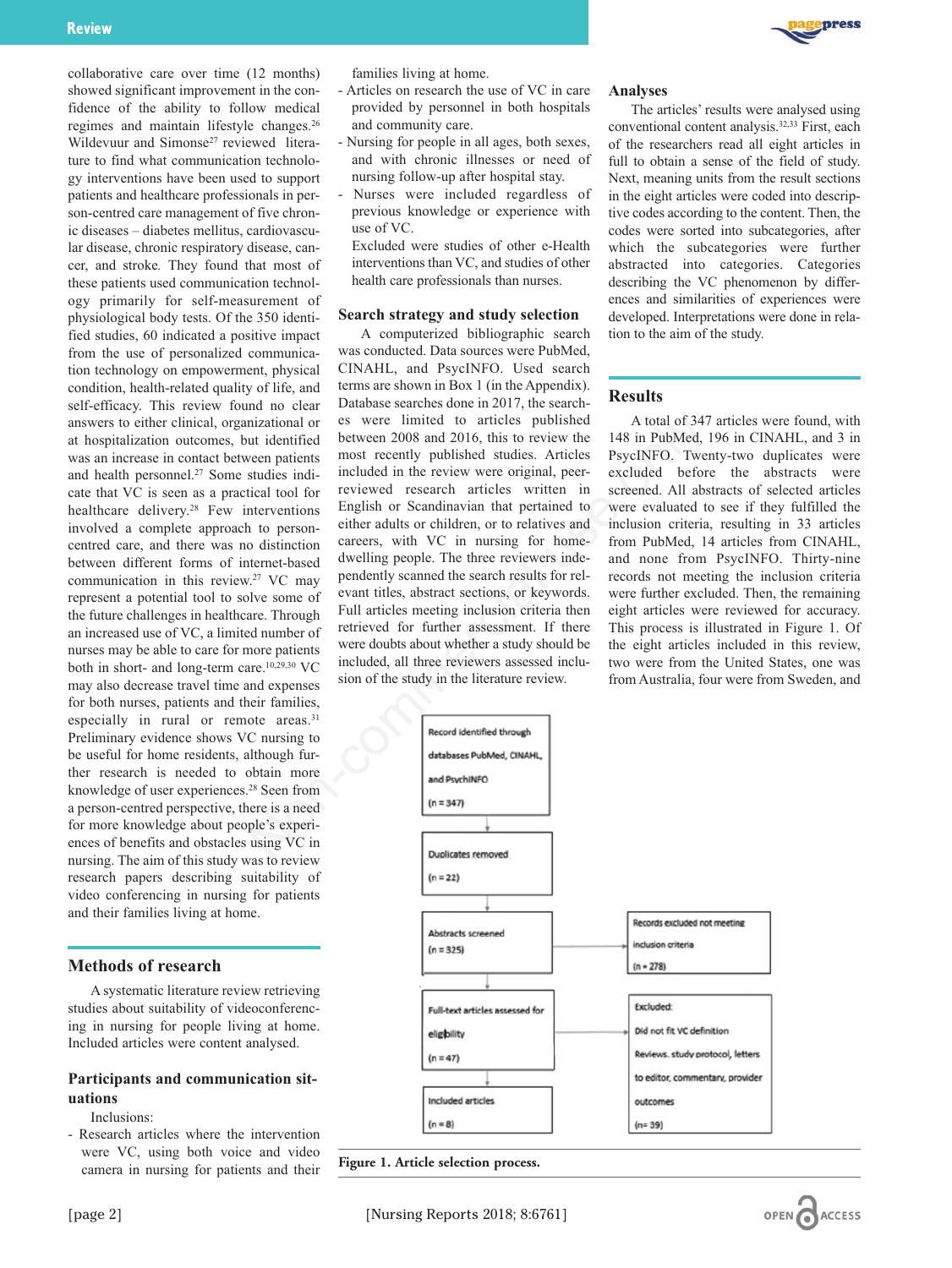collaborative care over time (12 months) showed significant improvement in the confidence of the ability to follow medical regimes and maintain lifestyle changes.<sup>26</sup> Wildevuur and Simonse<sup>27</sup> reviewed literature to find what communication technology interventions have been used to support patients and healthcare professionals in person-centred care management of five chronic diseases – diabetes mellitus, cardiovascular disease, chronic respiratory disease, cancer, and stroke*.* They found that most of these patients used communication technology primarily for self-measurement of physiological body tests. Of the 350 identified studies, 60 indicated a positive impact from the use of personalized communication technology on empowerment, physical condition, health-related quality of life, and self-efficacy. This review found no clear answers to either clinical, organizational or at hospitalization outcomes, but identified was an increase in contact between patients and health personnel.27 Some studies indicate that VC is seen as a practical tool for healthcare delivery.<sup>28</sup> Few interventions involved a complete approach to personcentred care, and there was no distinction between different forms of internet-based communication in this review.27 VC may represent a potential tool to solve some of the future challenges in healthcare. Through an increased use of VC, a limited number of nurses may be able to care for more patients both in short- and long-term care.10,29,30 VC may also decrease travel time and expenses for both nurses, patients and their families, especially in rural or remote areas.<sup>31</sup> Preliminary evidence shows VC nursing to be useful for home residents, although further research is needed to obtain more knowledge of user experiences.28 Seen from a person-centred perspective, there is a need for more knowledge about people's experiences of benefits and obstacles using VC in nursing. The aim of this study was to review research papers describing suitability of video conferencing in nursing for patients and their families living at home.

### **Methods of research**

A systematic literature review retrieving studies about suitability of videoconferencing in nursing for people living at home. Included articles were content analysed.

# **Participants and communication situations**

Inclusions:

- Research articles where the intervention were VC, using both voice and video camera in nursing for patients and their families living at home.

- Articles on research the use of VC in care provided by personnel in both hospitals and community care.
- Nursing for people in all ages, both sexes, and with chronic illnesses or need of nursing follow-up after hospital stay.
- Nurses were included regardless of previous knowledge or experience with use of VC.
	- Excluded were studies of other e-Health interventions than VC, and studies of other health care professionals than nurses.

### **Search strategy and study selection**

A computerized bibliographic search was conducted. Data sources were PubMed, CINAHL, and PsycINFO. Used search terms are shown in Box 1 (in the Appendix). Database searches done in 2017, the searches were limited to articles published between 2008 and 2016, this to review the most recently published studies. Articles included in the review were original, peerreviewed research articles written in English or Scandinavian that pertained to either adults or children, or to relatives and careers, with VC in nursing for homedwelling people. The three reviewers independently scanned the search results for relevant titles, abstract sections, or keywords. Full articles meeting inclusion criteria then retrieved for further assessment. If there were doubts about whether a study should be included, all three reviewers assessed inclusion of the study in the literature review. nizational or es were limited to articles published A total of 347<br>
uridentified between 2008 and 2016, this to review the 148 in Published,<br>
uridentified between partients most recently published studies. Articles PsychN

### **Analyses**

The articles' results were analysed using conventional content analysis.32,33 First, each of the researchers read all eight articles in full to obtain a sense of the field of study. Next, meaning units from the result sections in the eight articles were coded into descriptive codes according to the content. Then, the codes were sorted into subcategories, after which the subcategories were further abstracted into categories. Categories describing the VC phenomenon by differences and similarities of experiences were developed. Interpretations were done in relation to the aim of the study.

### **Results**

A total of 347 articles were found, with 148 in PubMed, 196 in CINAHL, and 3 in PsycINFO. Twenty-two duplicates were excluded before the abstracts were screened. All abstracts of selected articles were evaluated to see if they fulfilled the inclusion criteria, resulting in 33 articles from PubMed, 14 articles from CINAHL, and none from PsycINFO. Thirty-nine records not meeting the inclusion criteria were further excluded. Then, the remaining eight articles were reviewed for accuracy. This process is illustrated in Figure 1. Of the eight articles included in this review, two were from the United States, one was from Australia, four were from Sweden, and



**Figure 1. Article selection process.**

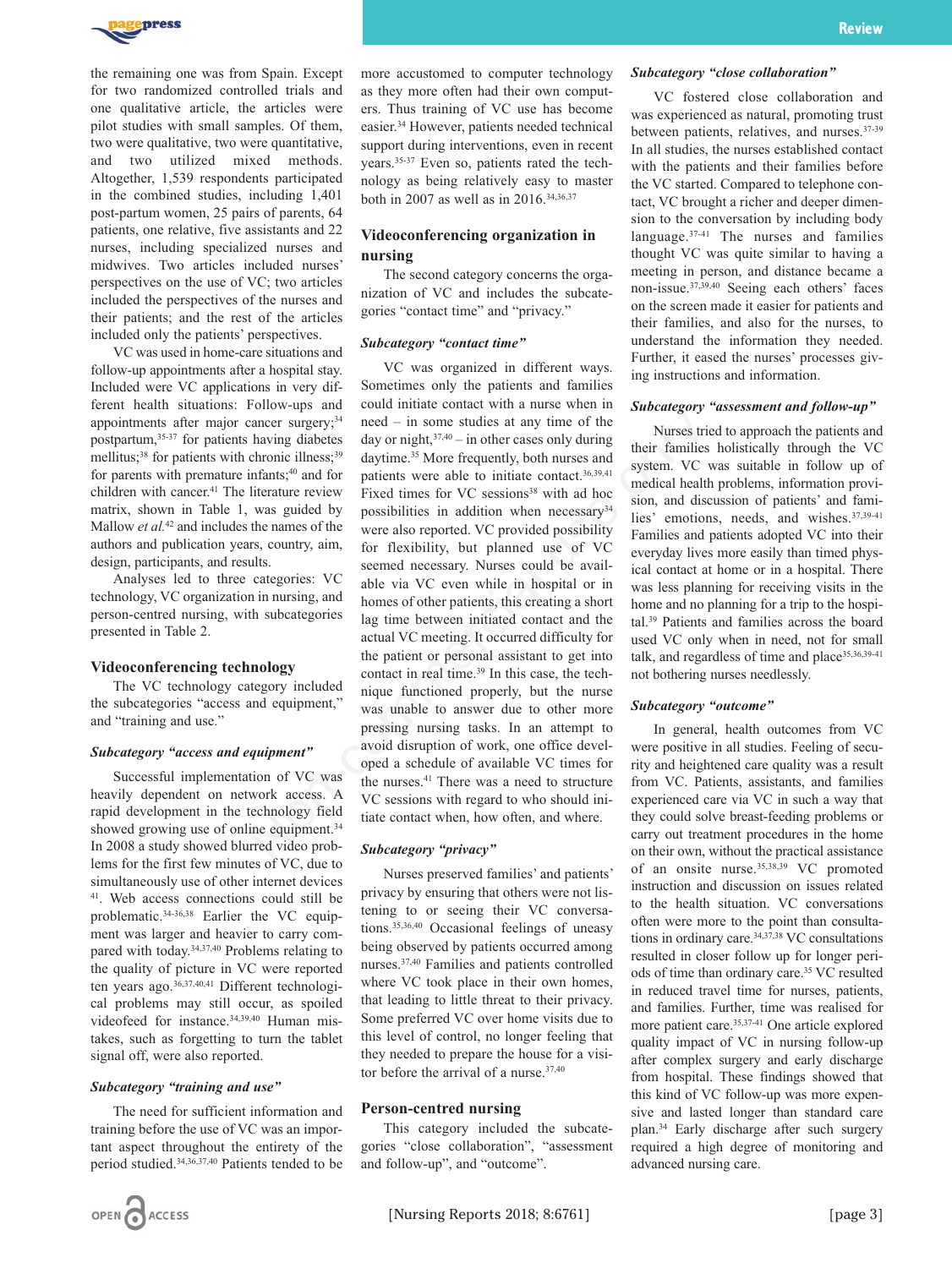

the remaining one was from Spain. Except for two randomized controlled trials and one qualitative article, the articles were pilot studies with small samples. Of them, two were qualitative, two were quantitative, and two utilized mixed methods. Altogether, 1,539 respondents participated in the combined studies, including 1,401 post-partum women, 25 pairs of parents, 64 patients, one relative, five assistants and 22 nurses, including specialized nurses and midwives. Two articles included nurses' perspectives on the use of VC; two articles included the perspectives of the nurses and their patients; and the rest of the articles included only the patients' perspectives.

VC was used in home-care situations and follow-up appointments after a hospital stay. Included were VC applications in very different health situations: Follow-ups and appointments after major cancer surgery;<sup>34</sup> postpartum,35-37 for patients having diabetes mellitus;<sup>38</sup> for patients with chronic illness;<sup>39</sup> for parents with premature infants;<sup>40</sup> and for children with cancer.<sup>41</sup> The literature review matrix, shown in Table 1, was guided by Mallow *et al.*<sup>42</sup> and includes the names of the authors and publication years, country, aim, design, participants, and results.

Analyses led to three categories: VC technology, VC organization in nursing, and person-centred nursing, with subcategories presented in Table 2.

#### **Videoconferencing technology**

The VC technology category included the subcategories "access and equipment," and "training and use."

#### *Subcategory "access and equipment"*

Successful implementation of VC was heavily dependent on network access. A rapid development in the technology field showed growing use of online equipment.<sup>34</sup> In 2008 a study showed blurred video problems for the first few minutes of VC, due to simultaneously use of other internet devices 41. Web access connections could still be problematic.34-36,38 Earlier the VC equipment was larger and heavier to carry compared with today.34,37,40 Problems relating to the quality of picture in VC were reported ten years ago.36,37,40,41 Different technological problems may still occur, as spoiled videofeed for instance.<sup>34,39,40</sup> Human mistakes, such as forgetting to turn the tablet signal off, were also reported.

### *Subcategory "training and use"*

The need for sufficient information and training before the use of VC was an important aspect throughout the entirety of the period studied.34,36,37,40 Patients tended to be more accustomed to computer technology as they more often had their own computers. Thus training of VC use has become easier.34 However, patients needed technical support during interventions, even in recent years.35-37 Even so, patients rated the technology as being relatively easy to master both in 2007 as well as in 2016.34,36,37

# **Videoconferencing organization in nursing**

The second category concerns the organization of VC and includes the subcategories "contact time" and "privacy."

#### *Subcategory "contact time"*

VC was organized in different ways. Sometimes only the patients and families could initiate contact with a nurse when in need – in some studies at any time of the day or night, $37,40 -$  in other cases only during daytime.<sup>35</sup> More frequently, both nurses and patients were able to initiate contact.36,39,41 Fixed times for VC sessions<sup>38</sup> with ad hoc possibilities in addition when necessary<sup>34</sup> were also reported. VC provided possibility for flexibility, but planned use of VC seemed necessary. Nurses could be available via VC even while in hospital or in homes of other patients, this creating a short lag time between initiated contact and the actual VC meeting. It occurred difficulty for the patient or personal assistant to get into contact in real time.<sup>39</sup> In this case, the technique functioned properly, but the nurse was unable to answer due to other more pressing nursing tasks. In an attempt to avoid disruption of work, one office developed a schedule of available VC times for the nurses.<sup>41</sup> There was a need to structure VC sessions with regard to who should initiate contact when, how often, and where. contain the state of the state of the minitesty and denotes the phase of proparitiestic day or night,<sup>27:40</sup> - in other cases only during the denotes,<sup>29</sup> daytime.<sup>25</sup> daytime.<sup>25</sup> daytime contains the properties infants;

### *Subcategory "privacy"*

Nurses preserved families' and patients' privacy by ensuring that others were not listening to or seeing their VC conversations.35,36,40 Occasional feelings of uneasy being observed by patients occurred among nurses.37,40 Families and patients controlled where VC took place in their own homes, that leading to little threat to their privacy. Some preferred VC over home visits due to this level of control, no longer feeling that they needed to prepare the house for a visitor before the arrival of a nurse.<sup>37,40</sup>

### **Person-centred nursing**

This category included the subcategories "close collaboration", "assessment and follow-up", and "outcome".

VC fostered close collaboration and was experienced as natural, promoting trust between patients, relatives, and nurses.37-39 In all studies, the nurses established contact with the patients and their families before the VC started. Compared to telephone contact, VC brought a richer and deeper dimension to the conversation by including body language.37-41 The nurses and families thought VC was quite similar to having a meeting in person, and distance became a non-issue.37,39,40 Seeing each others' faces on the screen made it easier for patients and their families, and also for the nurses, to understand the information they needed. Further, it eased the nurses' processes giving instructions and information.

#### *Subcategory "assessment and follow-up"*

Nurses tried to approach the patients and their families holistically through the VC system. VC was suitable in follow up of medical health problems, information provision, and discussion of patients' and families' emotions, needs, and wishes.37,39-41 Families and patients adopted VC into their everyday lives more easily than timed physical contact at home or in a hospital. There was less planning for receiving visits in the home and no planning for a trip to the hospital.39 Patients and families across the board used VC only when in need, not for small talk, and regardless of time and place<sup>35,36,39-41</sup> not bothering nurses needlessly.

#### *Subcategory "outcome"*

In general, health outcomes from VC were positive in all studies. Feeling of security and heightened care quality was a result from VC. Patients, assistants, and families experienced care via VC in such a way that they could solve breast-feeding problems or carry out treatment procedures in the home on their own, without the practical assistance of an onsite nurse.35,38,39 VC promoted instruction and discussion on issues related to the health situation. VC conversations often were more to the point than consultations in ordinary care.<sup>34,37,38</sup> VC consultations resulted in closer follow up for longer periods of time than ordinary care.35 VC resulted in reduced travel time for nurses, patients, and families. Further, time was realised for more patient care.35,37-41 One article explored quality impact of VC in nursing follow-up after complex surgery and early discharge from hospital. These findings showed that this kind of VC follow-up was more expensive and lasted longer than standard care plan.34 Early discharge after such surgery required a high degree of monitoring and advanced nursing care.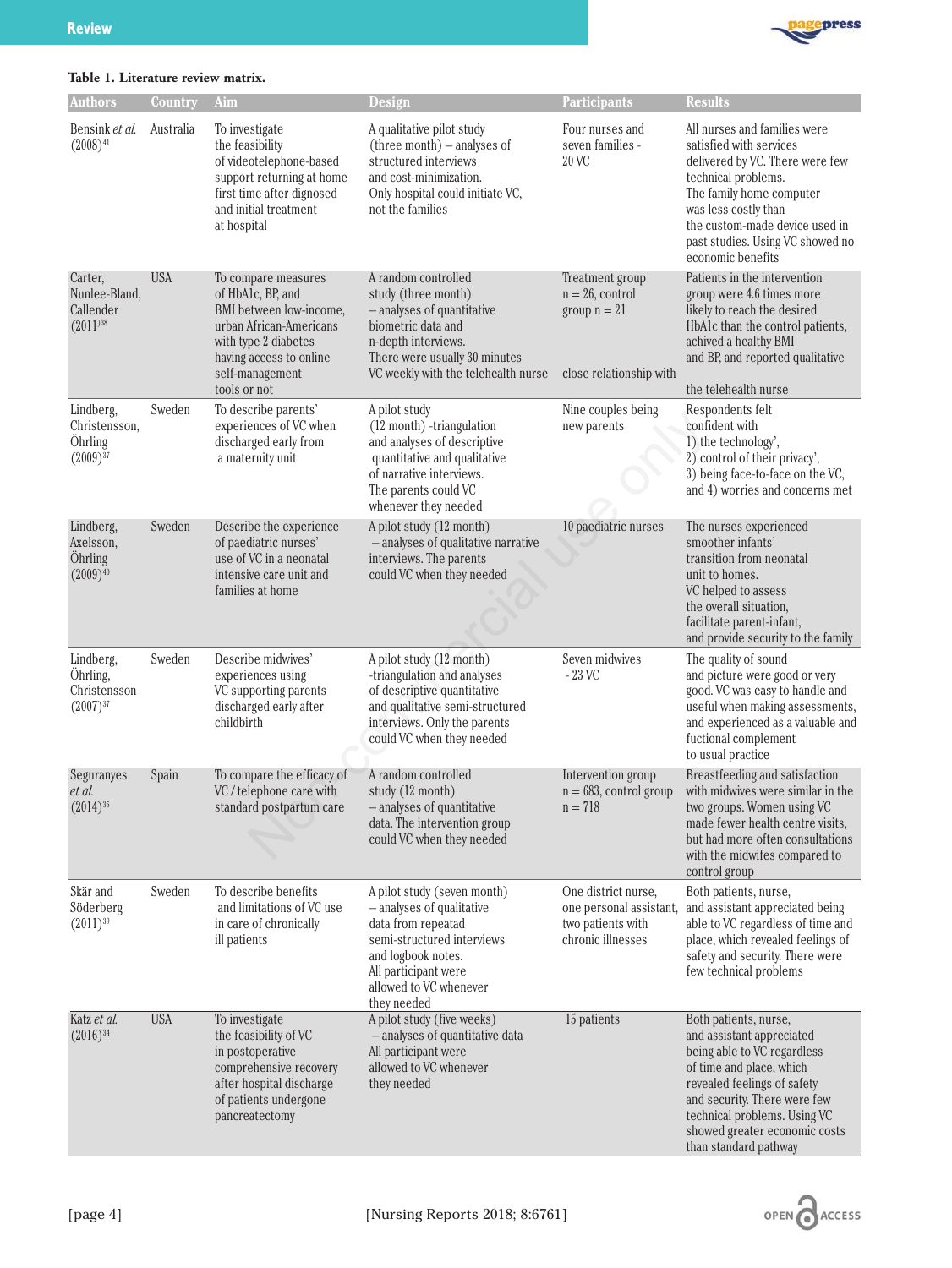

|  | Table 1. Literature review matrix. |  |  |
|--|------------------------------------|--|--|
|--|------------------------------------|--|--|

| <b>Authors</b>                                                  | Country    | Aim                                                                                                                                                                                  | Design                                                                                                                                                                                              | <b>Participants</b>                                                                      | <b>Results</b>                                                                                                                                                                                                                                                         |
|-----------------------------------------------------------------|------------|--------------------------------------------------------------------------------------------------------------------------------------------------------------------------------------|-----------------------------------------------------------------------------------------------------------------------------------------------------------------------------------------------------|------------------------------------------------------------------------------------------|------------------------------------------------------------------------------------------------------------------------------------------------------------------------------------------------------------------------------------------------------------------------|
| Bensink et al.<br>$(2008)^{41}$                                 | Australia  | To investigate<br>the feasibility<br>of videotelephone-based<br>support returning at home<br>first time after dignosed<br>and initial treatment<br>at hospital                       | A qualitative pilot study<br>$(three month) - analyses of$<br>structured interviews<br>and cost-minimization.<br>Only hospital could initiate VC,<br>not the families                               | Four nurses and<br>seven families -<br>20 VC                                             | All nurses and families were<br>satisfied with services<br>delivered by VC. There were few<br>technical problems.<br>The family home computer<br>was less costly than<br>the custom-made device used in<br>past studies. Using VC showed no<br>economic benefits       |
| Carter,<br>Nunlee-Bland,<br>Callender<br>$(2011)$ <sup>38</sup> | <b>USA</b> | To compare measures<br>of HbA1c, BP, and<br>BMI between low-income,<br>urban African-Americans<br>with type 2 diabetes<br>having access to online<br>self-management<br>tools or not | A random controlled<br>study (three month)<br>- analyses of quantitative<br>biometric data and<br>n-depth interviews.<br>There were usually 30 minutes<br>VC weekly with the telehealth nurse       | Treatment group<br>$n = 26$ , control<br>group $n = 21$<br>close relationship with       | Patients in the intervention<br>group were 4.6 times more<br>likely to reach the desired<br>HbA1c than the control patients,<br>achived a healthy BMI<br>and BP, and reported qualitative<br>the telehealth nurse                                                      |
| Lindberg,<br>Christensson,<br>Öhrling<br>$(2009)^{37}$          | Sweden     | To describe parents'<br>experiences of VC when<br>discharged early from<br>a maternity unit                                                                                          | A pilot study<br>(12 month) -triangulation<br>and analyses of descriptive<br>quantitative and qualitative<br>of narrative interviews.<br>The parents could VC<br>whenever they needed               | Nine couples being<br>new parents                                                        | Respondents felt<br>confident with<br>1) the technology',<br>2) control of their privacy',<br>3) being face-to-face on the VC,<br>and 4) worries and concerns met                                                                                                      |
| Lindberg,<br>Axelsson,<br>Öhrling<br>$(2009)^{40}$              | Sweden     | Describe the experience<br>of paediatric nurses'<br>use of VC in a neonatal<br>intensive care unit and<br>families at home                                                           | A pilot study (12 month)<br>- analyses of qualitative narrative<br>interviews. The parents<br>could VC when they needed                                                                             | 10 paediatric nurses                                                                     | The nurses experienced<br>smoother infants'<br>transition from neonatal<br>unit to homes.<br>VC helped to assess<br>the overall situation,<br>facilitate parent-infant,<br>and provide security to the family                                                          |
| Lindberg,<br>Öhrling,<br>Christensson<br>$(2007)^{37}$          | Sweden     | Describe midwives'<br>experiences using<br>VC supporting parents<br>discharged early after<br>childbirth                                                                             | A pilot study (12 month)<br>-triangulation and analyses<br>of descriptive quantitative<br>and qualitative semi-structured<br>interviews. Only the parents<br>could VC when they needed              | Seven midwives<br>$-23$ VC                                                               | The quality of sound<br>and picture were good or very<br>good. VC was easy to handle and<br>useful when making assessments,<br>and experienced as a valuable and<br>fuctional complement<br>to usual practice                                                          |
| Seguranyes<br>et al.<br>$(2014)^{35}$                           | Spain      | To compare the efficacy of<br>VC / telephone care with<br>standard postpartum care                                                                                                   | A random controlled<br>study (12 month)<br>- analyses of quantitative<br>data. The intervention group<br>could VC when they needed                                                                  | Intervention group<br>$n = 683$ , control group<br>$n = 718$                             | Breastfeeding and satisfaction<br>with midwives were similar in the<br>two groups. Women using VC<br>made fewer health centre visits,<br>but had more often consultations<br>with the midwifes compared to<br>control group                                            |
| Skär and<br>Söderberg<br>$(2011)^{39}$                          | Sweden     | To describe benefits<br>and limitations of VC use<br>in care of chronically<br>ill patients                                                                                          | A pilot study (seven month)<br>- analyses of qualitative<br>data from repeatad<br>semi-structured interviews<br>and logbook notes.<br>All participant were<br>allowed to VC whenever<br>they needed | One district nurse,<br>one personal assistant,<br>two patients with<br>chronic illnesses | Both patients, nurse,<br>and assistant appreciated being<br>able to VC regardless of time and<br>place, which revealed feelings of<br>safety and security. There were<br>few technical problems                                                                        |
| Katz et al.<br>$(2016)^{34}$                                    | <b>USA</b> | To investigate<br>the feasibility of VC<br>in postoperative<br>comprehensive recovery<br>after hospital discharge<br>of patients undergone<br>pancreatectomy                         | A pilot study (five weeks)<br>- analyses of quantitative data<br>All participant were<br>allowed to VC whenever<br>they needed                                                                      | 15 patients                                                                              | Both patients, nurse,<br>and assistant appreciated<br>being able to VC regardless<br>of time and place, which<br>revealed feelings of safety<br>and security. There were few<br>technical problems. Using VC<br>showed greater economic costs<br>than standard pathway |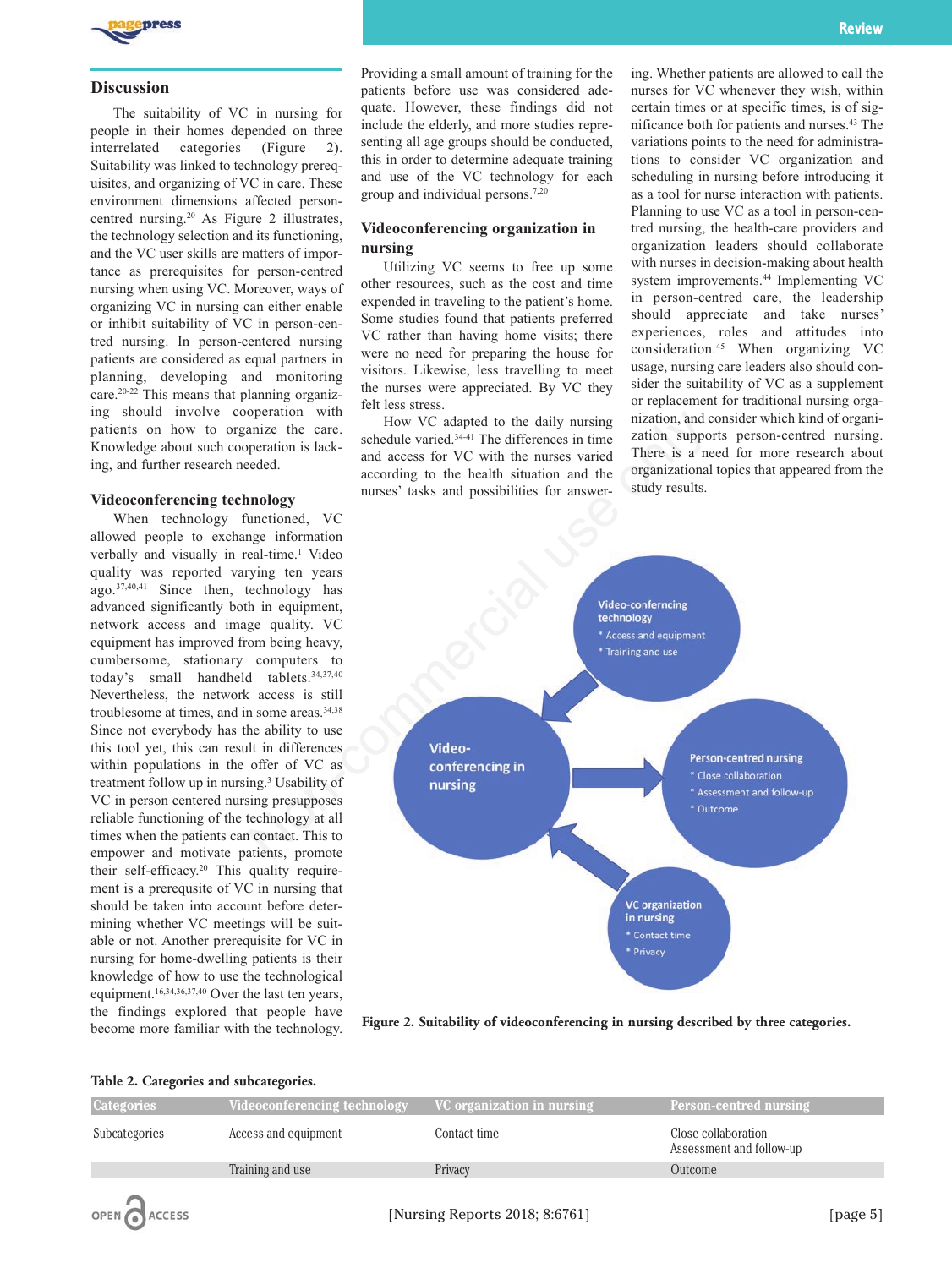

### **Discussion**

The suitability of VC in nursing for people in their homes depended on three interrelated categories (Figure 2). Suitability was linked to technology prerequisites, and organizing of VC in care. These environment dimensions affected personcentred nursing.20 As Figure 2 illustrates, the technology selection and its functioning, and the VC user skills are matters of importance as prerequisites for person-centred nursing when using VC. Moreover, ways of organizing VC in nursing can either enable or inhibit suitability of VC in person-centred nursing. In person-centered nursing patients are considered as equal partners in planning, developing and monitoring care.20-22 This means that planning organizing should involve cooperation with patients on how to organize the care. Knowledge about such cooperation is lacking, and further research needed.

### **Videoconferencing technology**

When technology functioned, VC allowed people to exchange information verbally and visually in real-time.<sup>1</sup> Video quality was reported varying ten years ago.37,40,41 Since then, technology has advanced significantly both in equipment, network access and image quality. VC equipment has improved from being heavy, cumbersome, stationary computers to today's small handheld tablets.34,37,40 Nevertheless, the network access is still troublesome at times, and in some areas.<sup>34,38</sup> Since not everybody has the ability to use this tool yet, this can result in differences within populations in the offer of VC as treatment follow up in nursing.3 Usability of VC in person centered nursing presupposes reliable functioning of the technology at all times when the patients can contact. This to empower and motivate patients, promote their self-efficacy.<sup>20</sup> This quality requirement is a prerequsite of VC in nursing that should be taken into account before determining whether VC meetings will be suitable or not. Another prerequisite for VC in nursing for home-dwelling patients is their knowledge of how to use the technological equipment.16,34,36,37,40 Over the last ten years, the findings explored that people have become more familiar with the technology.

Providing a small amount of training for the patients before use was considered adequate. However, these findings did not include the elderly, and more studies representing all age groups should be conducted, this in order to determine adequate training and use of the VC technology for each group and individual persons.7,20

# **Videoconferencing organization in nursing**

Utilizing VC seems to free up some other resources, such as the cost and time expended in traveling to the patient's home. Some studies found that patients preferred VC rather than having home visits; there were no need for preparing the house for visitors. Likewise, less travelling to meet the nurses were appreciated. By VC they felt less stress.

How VC adapted to the daily nursing schedule varied.<sup>34-41</sup> The differences in time and access for VC with the nurses varied according to the health situation and the nurses' tasks and possibilities for answering. Whether patients are allowed to call the nurses for VC whenever they wish, within certain times or at specific times, is of significance both for patients and nurses.43 The variations points to the need for administrations to consider VC organization and scheduling in nursing before introducing it as a tool for nurse interaction with patients. Planning to use VC as a tool in person-centred nursing, the health-care providers and organization leaders should collaborate with nurses in decision-making about health system improvements.44 Implementing VC in person-centred care, the leadership should appreciate and take nurses' experiences, roles and attitudes into consideration.45 When organizing VC usage, nursing care leaders also should consider the suitability of VC as a supplement or replacement for traditional nursing organization, and consider which kind of organization supports person-centred nursing. There is a need for more research about organizational topics that appeared from the study results.



**Figure 2. Suitability of videoconferencing in nursing described by three categories.**

#### **Table 2. Categories and subcategories.**

| <b>Categories</b> | Videoconferencing technology | VC organization in nursing | <b>Person-centred nursing</b>                   |
|-------------------|------------------------------|----------------------------|-------------------------------------------------|
| Subcategories     | Access and equipment         | Contact time :             | Close collaboration<br>Assessment and follow-up |
|                   | Training and use             | Privacy                    | Outcome                                         |
|                   |                              |                            |                                                 |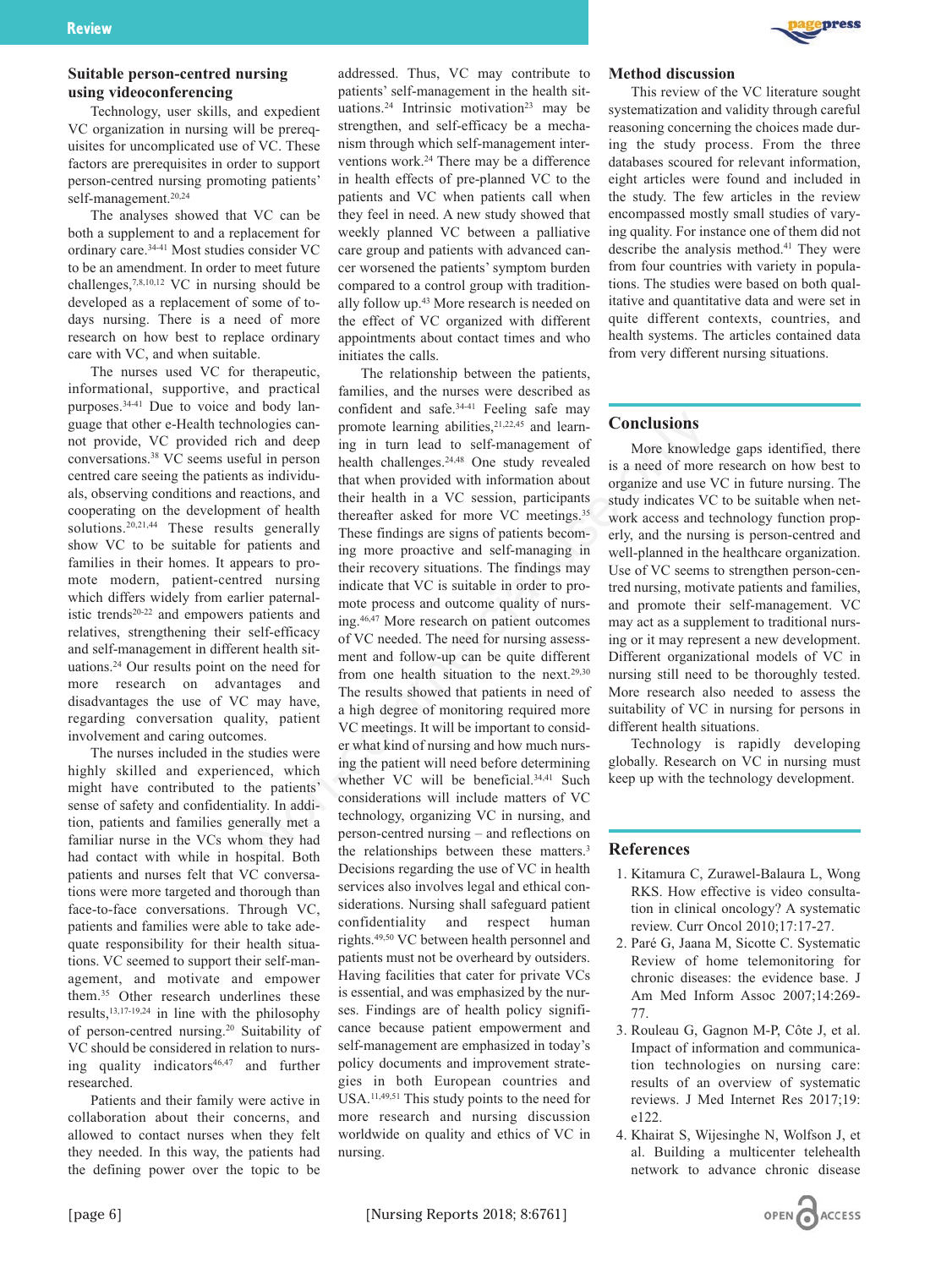# **Suitable person-centred nursing using videoconferencing**

Technology, user skills, and expedient VC organization in nursing will be prerequisites for uncomplicated use of VC. These factors are prerequisites in order to support person-centred nursing promoting patients' self-management.20,24

The analyses showed that VC can be both a supplement to and a replacement for ordinary care.34-41 Most studies consider VC to be an amendment. In order to meet future challenges,7,8,10,12 VC in nursing should be developed as a replacement of some of todays nursing. There is a need of more research on how best to replace ordinary care with VC, and when suitable.

The nurses used VC for therapeutic, informational, supportive, and practical purposes.34-41 Due to voice and body language that other e-Health technologies cannot provide, VC provided rich and deep conversations.38 VC seems useful in person centred care seeing the patients as individuals, observing conditions and reactions, and cooperating on the development of health solutions.<sup>20,21,44</sup> These results generally show VC to be suitable for patients and families in their homes. It appears to promote modern, patient-centred nursing which differs widely from earlier paternalistic trends<sup>20-22</sup> and empowers patients and relatives, strengthening their self-efficacy and self-management in different health situations.24 Our results point on the need for more research on advantages and disadvantages the use of VC may have, regarding conversation quality, patient involvement and caring outcomes.

The nurses included in the studies were highly skilled and experienced, which might have contributed to the patients' sense of safety and confidentiality. In addition, patients and families generally met a familiar nurse in the VCs whom they had had contact with while in hospital. Both patients and nurses felt that VC conversations were more targeted and thorough than face-to-face conversations. Through VC, patients and families were able to take adequate responsibility for their health situations. VC seemed to support their self-management, and motivate and empower them.35 Other research underlines these results,13,17-19,24 in line with the philosophy of person-centred nursing.20 Suitability of VC should be considered in relation to nursing quality indicators<sup>46,47</sup> and further researched.

Patients and their family were active in collaboration about their concerns, and allowed to contact nurses when they felt they needed. In this way, the patients had the defining power over the topic to be

addressed. Thus, VC may contribute to patients' self-management in the health situations.<sup>24</sup> Intrinsic motivation<sup>23</sup> may be strengthen, and self-efficacy be a mechanism through which self-management interventions work.24 There may be a difference in health effects of pre-planned VC to the patients and VC when patients call when they feel in need. A new study showed that weekly planned VC between a palliative care group and patients with advanced cancer worsened the patients' symptom burden compared to a control group with traditionally follow up.43 More research is needed on the effect of VC organized with different appointments about contact times and who initiates the calls.

The relationship between the patients, families, and the nurses were described as confident and safe.34-41 Feeling safe may promote learning abilities,<sup>21,22,45</sup> and learning in turn lead to self-management of health challenges.<sup>24,48</sup> One study revealed that when provided with information about their health in a VC session, participants thereafter asked for more VC meetings.35 These findings are signs of patients becoming more proactive and self-managing in their recovery situations. The findings may indicate that VC is suitable in order to promote process and outcome quality of nursing.46,47 More research on patient outcomes of VC needed. The need for nursing assessment and follow-up can be quite different from one health situation to the next.<sup>29,30</sup> The results showed that patients in need of a high degree of monitoring required more VC meetings. It will be important to consider what kind of nursing and how much nursing the patient will need before determining whether VC will be beneficial.<sup>34,41</sup> Such considerations will include matters of VC technology, organizing VC in nursing, and person-centred nursing – and reflections on the relationships between these matters.<sup>3</sup> Decisions regarding the use of VC in health services also involves legal and ethical considerations. Nursing shall safeguard patient confidentiality and respect human rights.49,50 VC between health personnel and patients must not be overheard by outsiders. Having facilities that cater for private VCs is essential, and was emphasized by the nurses. Findings are of health policy significance because patient empowerment and self-management are emphasized in today's policy documents and improvement strategies in both European countries and USA.11,49,51 This study points to the need for more research and nursing discussion worldwide on quality and ethics of VC in nursing. notice is a control of the seale of the seale in the seale of the reaction on the seale in the response as individual in person chealing abilities,<sup>21,22,45</sup> and learn-<br>as in furth chall means the seale of more knowled in



#### **Method discussion**

This review of the VC literature sought systematization and validity through careful reasoning concerning the choices made during the study process. From the three databases scoured for relevant information, eight articles were found and included in the study. The few articles in the review encompassed mostly small studies of varying quality. For instance one of them did not describe the analysis method.<sup>41</sup> They were from four countries with variety in populations. The studies were based on both qualitative and quantitative data and were set in quite different contexts, countries, and health systems. The articles contained data from very different nursing situations.

# **Conclusions**

More knowledge gaps identified, there is a need of more research on how best to organize and use VC in future nursing. The study indicates VC to be suitable when network access and technology function properly, and the nursing is person-centred and well-planned in the healthcare organization. Use of VC seems to strengthen person-centred nursing, motivate patients and families, and promote their self-management. VC may act as a supplement to traditional nursing or it may represent a new development. Different organizational models of VC in nursing still need to be thoroughly tested. More research also needed to assess the suitability of VC in nursing for persons in different health situations.

Technology is rapidly developing globally. Research on VC in nursing must keep up with the technology development.

### **References**

- 1. Kitamura C, Zurawel-Balaura L, Wong RKS. How effective is video consultation in clinical oncology? A systematic review. Curr Oncol 2010;17:17-27.
- 2. Paré G, Jaana M, Sicotte C. Systematic Review of home telemonitoring for chronic diseases: the evidence base. J Am Med Inform Assoc 2007;14:269- 77.
- 3. Rouleau G, Gagnon M-P, Côte J, et al. Impact of information and communication technologies on nursing care: results of an overview of systematic reviews. J Med Internet Res 2017;19: e122.
- 4. Khairat S, Wijesinghe N, Wolfson J, et al. Building a multicenter telehealth network to advance chronic disease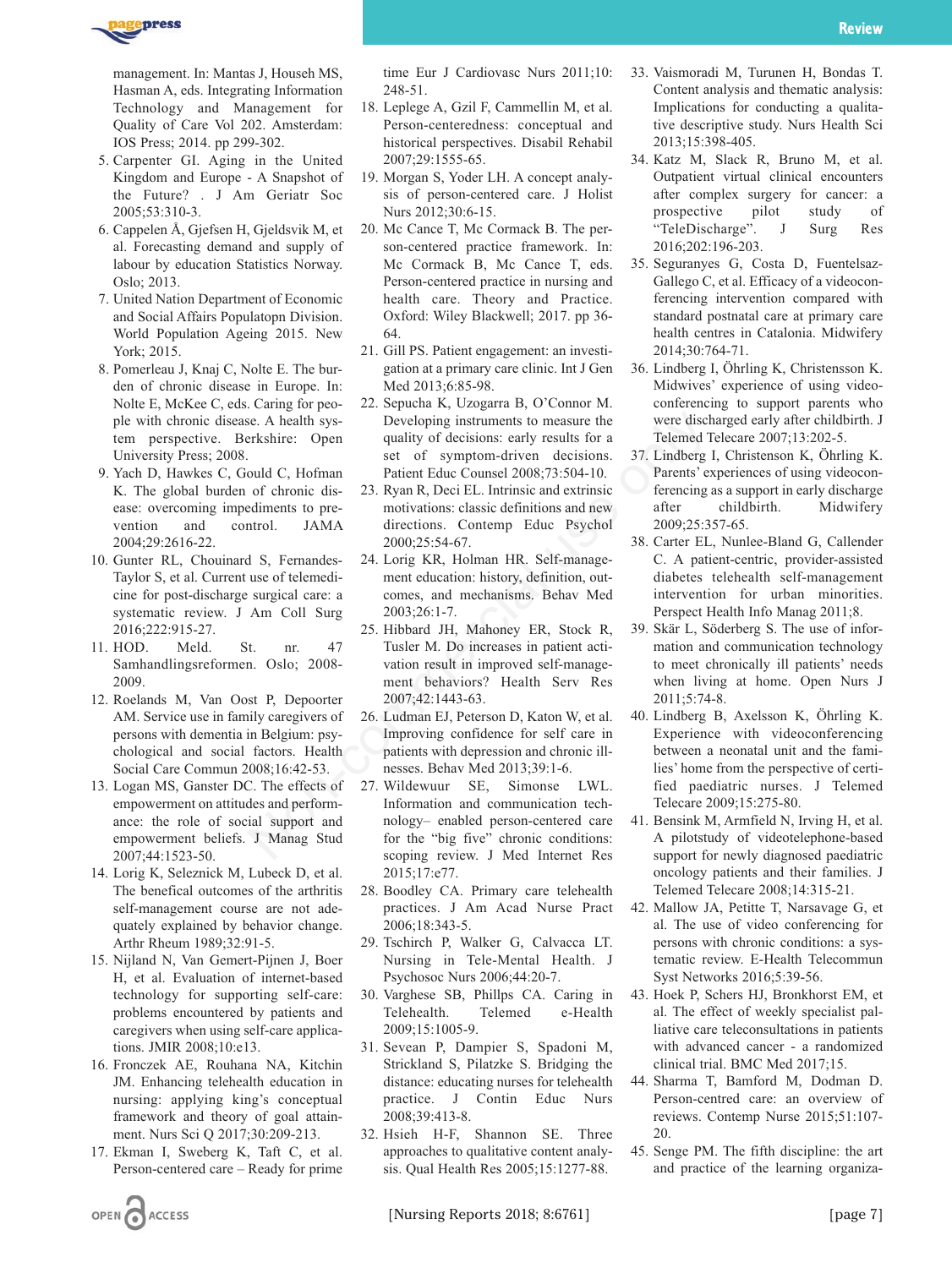management. In: Mantas J, Househ MS, Hasman A, eds. Integrating Information Technology and Management for Quality of Care Vol 202. Amsterdam: IOS Press; 2014. pp 299-302.

- 5. Carpenter GI. Aging in the United Kingdom and Europe - A Snapshot of the Future? . J Am Geriatr Soc 2005;53:310-3.
- 6. Cappelen Å, Gjefsen H, Gjeldsvik M, et al. Forecasting demand and supply of labour by education Statistics Norway. Oslo; 2013.
- 7. United Nation Department of Economic and Social Affairs Populatopn Division. World Population Ageing 2015. New York; 2015.
- 8. Pomerleau J, Knaj C, Nolte E. The burden of chronic disease in Europe. In: Nolte E, McKee C, eds. Caring for people with chronic disease. A health system perspective. Berkshire: Open University Press; 2008.
- 9. Yach D, Hawkes C, Gould C, Hofman K. The global burden of chronic disease: overcoming impediments to prevention and control. JAMA 2004;29:2616-22.
- 10. Gunter RL, Chouinard S, Fernandes-Taylor S, et al. Current use of telemedicine for post-discharge surgical care: a systematic review. J Am Coll Surg 2016;222:915-27.
- 11. HOD. Meld. St. nr. 47 Samhandlingsreformen. Oslo; 2008- 2009.
- 12. Roelands M, Van Oost P, Depoorter AM. Service use in family caregivers of persons with dementia in Belgium: psychological and social factors. Health Social Care Commun 2008;16:42-53.
- 13. Logan MS, Ganster DC. The effects of empowerment on attitudes and performance: the role of social support and empowerment beliefs. J Manag Stud 2007;44:1523-50.
- 14. Lorig K, Seleznick M, Lubeck D, et al. The benefical outcomes of the arthritis self-management course are not adequately explained by behavior change. Arthr Rheum 1989;32:91-5.
- 15. Nijland N, Van Gemert-Pijnen J, Boer H, et al. Evaluation of internet-based technology for supporting self-care: problems encountered by patients and caregivers when using self-care applications. JMIR 2008;10:e13.
- 16. Fronczek AE, Rouhana NA, Kitchin JM. Enhancing telehealth education in nursing: applying king's conceptual framework and theory of goal attainment. Nurs Sci Q 2017;30:209-213.
- 17. Ekman I, Sweberg K, Taft C, et al. Person-centered care – Ready for prime

OPEN CACCESS

time Eur J Cardiovasc Nurs 2011;10: 248-51.

- 18. Leplege A, Gzil F, Cammellin M, et al. Person-centeredness: conceptual and historical perspectives. Disabil Rehabil 2007;29:1555-65.
- 19. Morgan S, Yoder LH. A concept analysis of person-centered care. J Holist Nurs 2012;30:6-15.
- 20. Mc Cance T, Mc Cormack B. The person-centered practice framework. In: Mc Cormack B, Mc Cance T, eds. Person-centered practice in nursing and health care. Theory and Practice. Oxford: Wiley Blackwell; 2017. pp 36- 64.
- 21. Gill PS. Patient engagement: an investigation at a primary care clinic. Int J Gen Med 2013;6:85-98.
- 22. Sepucha K, Uzogarra B, O'Connor M. Developing instruments to measure the quality of decisions: early results for a set of symptom-driven decisions. Patient Educ Counsel 2008;73:504-10.
- 23. Ryan R, Deci EL. Intrinsic and extrinsic motivations: classic definitions and new directions. Contemp Educ Psychol 2000;25:54-67.
- 24. Lorig KR, Holman HR. Self-management education: history, definition, outcomes, and mechanisms. Behav Med 2003;26:1-7.
- 25. Hibbard JH, Mahoney ER, Stock R, Tusler M. Do increases in patient activation result in improved self-management behaviors? Health Serv Res 2007;42:1443-63. ise. A health system and unit of decisions: enty results for a publity of decisions and the same the system of chronic discussed and the system of chronic discussed and the motivations. Contemp Equipments on the motivation
	- 26. Ludman EJ, Peterson D, Katon W, et al. Improving confidence for self care in patients with depression and chronic illnesses. Behav Med 2013;39:1-6.
	- 27. Wildewuur SE, Simonse LWL. Information and communication technology– enabled person-centered care for the "big five" chronic conditions: scoping review. J Med Internet Res 2015;17:e77.
	- 28. Boodley CA. Primary care telehealth practices. J Am Acad Nurse Pract 2006;18:343-5.
	- 29. Tschirch P, Walker G, Calvacca LT. Nursing in Tele-Mental Health. J Psychosoc Nurs 2006;44:20-7.
	- 30. Varghese SB, Phillps CA. Caring in Telehealth. Telemed e-Health 2009;15:1005-9.
	- 31. Sevean P, Dampier S, Spadoni M, Strickland S, Pilatzke S. Bridging the distance: educating nurses for telehealth practice. J Contin Educ Nurs 2008;39:413-8.
	- 32. Hsieh H-F, Shannon SE. Three approaches to qualitative content analysis. Qual Health Res 2005;15:1277-88.
- 34. Katz M, Slack R, Bruno M, et al. Outpatient virtual clinical encounters after complex surgery for cancer: a prospective pilot study of "TeleDischarge". J Surg Res 2016;202:196-203.
- 35. Seguranyes G, Costa D, Fuentelsaz-Gallego C, et al. Efficacy of a videoconferencing intervention compared with standard postnatal care at primary care health centres in Catalonia. Midwifery 2014;30:764-71.
- 36. Lindberg I, Öhrling K, Christensson K. Midwives' experience of using videoconferencing to support parents who were discharged early after childbirth. J Telemed Telecare 2007;13:202-5.
- 37. Lindberg I, Christenson K, Öhrling K. Parents' experiences of using videoconferencing as a support in early discharge after childbirth. Midwifery 2009;25:357-65.
- 38. Carter EL, Nunlee-Bland G, Callender C. A patient-centric, provider-assisted diabetes telehealth self-management intervention for urban minorities. Perspect Health Info Manag 2011;8.
- 39. Skär L, Söderberg S. The use of information and communication technology to meet chronically ill patients' needs when living at home. Open Nurs J 2011;5:74-8.
- 40. Lindberg B, Axelsson K, Öhrling K. Experience with videoconferencing between a neonatal unit and the families' home from the perspective of certified paediatric nurses. J Telemed Telecare 2009;15:275-80.
- 41. Bensink M, Armfield N, Irving H, et al. A pilotstudy of videotelephone-based support for newly diagnosed paediatric oncology patients and their families. J Telemed Telecare 2008;14:315-21.
- 42. Mallow JA, Petitte T, Narsavage G, et al. The use of video conferencing for persons with chronic conditions: a systematic review. E-Health Telecommun Syst Networks 2016;5:39-56.
- 43. Hoek P, Schers HJ, Bronkhorst EM, et al. The effect of weekly specialist palliative care teleconsultations in patients with advanced cancer - a randomized clinical trial. BMC Med 2017;15.
- 44. Sharma T, Bamford M, Dodman D. Person-centred care: an overview of reviews. Contemp Nurse 2015;51:107- 20.
- 45. Senge PM. The fifth discipline: the art and practice of the learning organiza-